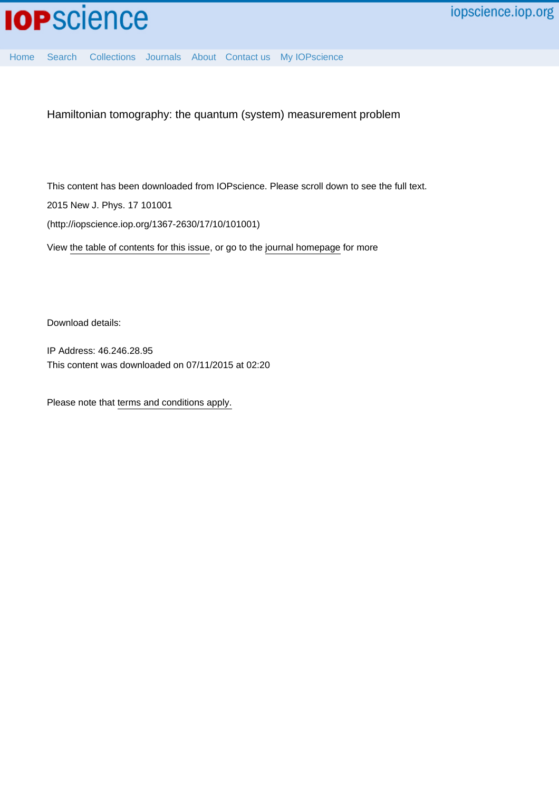

[Home](http://iopscience.iop.org/) [Search](http://iopscience.iop.org/search) [Collections](http://iopscience.iop.org/collections) [Journals](http://iopscience.iop.org/journals) [About](http://iopscience.iop.org/page/aboutioppublishing) [Contact us](http://iopscience.iop.org/contact) [My IOPscience](http://iopscience.iop.org/myiopscience)

Hamiltonian tomography: the quantum (system) measurement problem

This content has been downloaded from IOPscience. Please scroll down to see the full text. 2015 New J. Phys. 17 101001

(http://iopscience.iop.org/1367-2630/17/10/101001)

View [the table of contents for this issue](http://iopscience.iop.org/1367-2630/17/10), or go to the [journal homepage](http://iopscience.iop.org/1367-2630) for more

Download details:

IP Address: 46.246.28.95 This content was downloaded on 07/11/2015 at 02:20

Please note that [terms and conditions apply.](iopscience.iop.org/page/terms)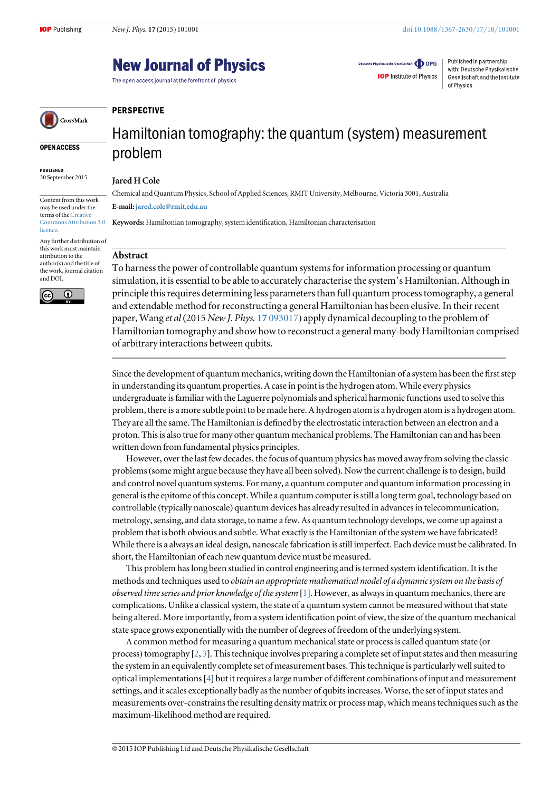# **New Journal of Physics**

The open access journal at the forefront of physics

Deutsche Physikalische Gesellschaft **ODPG** 

**IOP** Institute of Physics

Published in partnership with: Deutsche Physikalische Gesellschaft and the Institute of Physics

## **PERSPECTIVE**

# $\n *h*$ problem

#### Jared H Cole

Chemical and Quantum Physics, School of Applied Sciences, RMIT University, Melbourne, Victoria 3001, Australia E-mail: [jared.cole@rmit.edu.au](mailto:jared.cole@rmit.edu.au)

Keywords: Hamiltonian tomography, system identification, Hamiltonian characterisation

## Abstract

To harness the power of controllable quantum systems for information processing or quantum simulation, it is essential to be able to accurately characterise the system's Hamiltonian. Although in principle this requires determining less parameters than full quantum process tomography, a general and extendable method for reconstructing a general Hamiltonian has been elusive. In their recent paper, Wang *et al* (2015 *New J. Phys.* 17 [093017](http://dx.doi.org/10.1088/1367-2630/17/9/093017)) apply dynamical decoupling to the problem of Hamiltonian tomography and show how to reconstruct a general many-body Hamiltonian comprised of arbitrary interactions between qubits.

Since the development of quantum mechanics, writing down the Hamiltonian of a system has been the first step in understanding its quantum properties. A case in point is the hydrogen atom. While every physics undergraduate is familiar with the Laguerre polynomials and spherical harmonic functions used to solve this problem, there is a more subtle point to be made here. A hydrogen atom is a hydrogen atom is a hydrogen atom. They are all the same. The Hamiltonian is defined by the electrostatic interaction between an electron and a proton. This is also true for many other quantum mechanical problems. The Hamiltonian can and has been written down from fundamental physics principles.

However, over the last few decades, the focus of quantum physics has moved away from solving the classic problems(some might argue because they have all been solved). Now the current challenge is to design, build and control novel quantum systems. For many, a quantum computer and quantum information processing in general is the epitome of this concept. While a quantum computer is still a long term goal, technology based on controllable (typically nanoscale) quantum devices has already resulted in advances in telecommunication, metrology, sensing, and data storage, to name a few. As quantum technology develops, we come up against a problem that is both obvious and subtle. What exactly is the Hamiltonian of the system we have fabricated? While there is a always an ideal design, nanoscale fabrication is still imperfect. Each device must be calibrated. In short, the Hamiltonian of each new quantum device must be measured.

This problem has long been studied in control engineering and is termed system identification. It is the methods and techniques used to *obtain an appropriate mathematical model of a dynamic system on the basis of* observed time series and prior knowledge of the system [[1](#page-2-0)]. However, as always in quantum mechanics, there are complications. Unlike a classical system, the state of a quantum system cannot be measured without that state being altered. More importantly, from a system identification point of view, the size of the quantum mechanical state space grows exponentially with the number of degrees of freedom of the underlying system.

A common method for measuring a quantum mechanical state or process is called quantum state (or process) tomography [[2](#page-2-1), [3](#page-2-2)]. This technique involves preparing a complete set of input states and then measuring the system in an equivalently complete set of measurement bases. This technique is particularly well suited to optical implementations[[4](#page-2-3)] but it requires a large number of different combinations of input and measurement settings, and it scales exceptionally badly as the number of qubits increases. Worse, the set of input states and measurements over-constrains the resulting density matrix or process map, which means techniques such as the maximum-likelihood method are required.



Content from this work may be used under the terms of the[Creative](http://creativecommons.org/licenses/by/3.0) [Commons Attribution 3.0](http://creativecommons.org/licenses/by/3.0)

Any further distribution of this work must maintain attribution to the author(s) and the title of the work, journal citation

 $\omega$ 

OPEN ACCESS

PUBLISHED 30 September 2015

[licence.](http://creativecommons.org/licenses/by/3.0)

and DOI.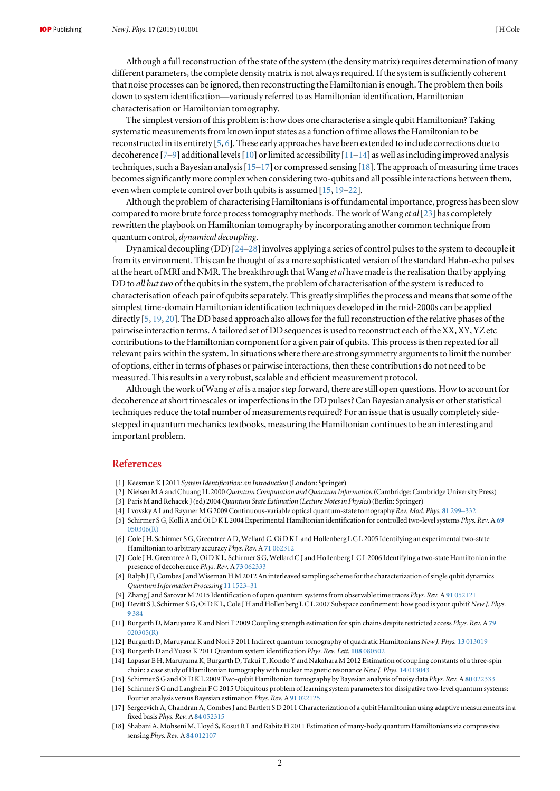Although a full reconstruction of the state of the system (the density matrix) requires determination of many different parameters, the complete density matrix is not always required. If the system is sufficiently coherent

that noise processes can be ignored, then reconstructing the Hamiltonian is enough. The problem then boils down to system identification—variously referred to as Hamiltonian identification, Hamiltonian characterisation or Hamiltonian tomography.

The simplest version of this problem is: how does one characterise a single qubit Hamiltonian? Taking systematic measurements from known input states as a function of time allows the Hamiltonian to be reconstructed in its entirety [[5](#page-2-4), [6](#page-2-5)]. These early approaches have been extended to include corrections due to decoherence  $[7-9]$  $[7-9]$  $[7-9]$  $[7-9]$  $[7-9]$  additional levels  $[10]$  $[10]$  $[10]$  or limited accessibility  $[11-14]$  $[11-14]$  $[11-14]$  $[11-14]$  $[11-14]$  as well as including improved analysis techniques, such a Bayesian analysis [[15](#page-2-11)–[17](#page-2-12)] or compressed sensing [[18](#page-2-13)]. The approach of measuring time traces becomes significantly more complex when considering two-qubits and all possible interactions between them, even when complete control over both qubits is assumed [[15,](#page-2-11) [19](#page-3-0)–[22](#page-3-1)].

Although the problem of characterising Hamiltonians is of fundamental importance, progress has been slow compared to more brute force process tomography methods. The work of Wang et al [[23](#page-3-2)] has completely rewritten the playbook on Hamiltonian tomography by incorporating another common technique from quantum control, dynamical decoupling.

Dynamical decoupling (DD)  $[24-28]$  $[24-28]$  $[24-28]$  $[24-28]$  $[24-28]$  involves applying a series of control pulses to the system to decouple it from its environment. This can be thought of as a more sophisticated version of the standard Hahn-echo pulses at the heart of MRI and NMR. The breakthrough that Wang et al have made is the realisation that by applying DD to all but two of the qubits in the system, the problem of characterisation of the system is reduced to characterisation of each pair of qubits separately. This greatly simplifies the process and means that some of the simplest time-domain Hamiltonian identification techniques developed in the mid-2000s can be applied directly [[5](#page-2-4), [19,](#page-3-0) [20](#page-3-5)]. The DD based approach also allows for the full reconstruction of the relative phases of the pairwise interaction terms. A tailored set of DD sequences is used to reconstruct each of the XX, XY, YZ etc contributions to the Hamiltonian component for a given pair of qubits. This process is then repeated for all relevant pairs within the system. In situations where there are strong symmetry arguments to limit the number of options, either in terms of phases or pairwise interactions, then these contributions do not need to be measured. This results in a very robust, scalable and efficient measurement protocol.

Although the work of Wang et al is a major step forward, there are still open questions. How to account for decoherence at short timescales or imperfections in the DD pulses? Can Bayesian analysis or other statistical techniques reduce the total number of measurements required? For an issue that is usually completely sidestepped in quantum mechanics textbooks, measuring the Hamiltonian continues to be an interesting and important problem.

# References

- <span id="page-2-0"></span>[1] Keesman K J 2011 System Identification: an Introduction (London: Springer)
- <span id="page-2-1"></span>[2] Nielsen M A and Chuang I L 2000 Quantum Computation and Quantum Information (Cambridge: Cambridge University Press)
- <span id="page-2-2"></span>[3] Paris M and Rehacek J(ed) 2004 Quantum State Estimation (Lecture Notes in Physics) (Berlin: Springer)
- <span id="page-2-3"></span>[4] Lvovsky A I and Raymer M G 2009 Continuous-variable optical quantum-state tomography Rev. Mod. Phys. 81 [299](http://dx.doi.org/10.1103/RevModPhys.81.299)–332
- <span id="page-2-4"></span>[5] Schirmer S G, Kolli A and Oi D K L 2004 Experimental Hamiltonian identification for controlled two-level systems Phys. Rev. A [69](http://dx.doi.org/10.1103/PhysRevA.69.050306) [050306](http://dx.doi.org/10.1103/PhysRevA.69.050306)(R)
- <span id="page-2-5"></span>[6] Cole J H, Schirmer S G, Greentree A D, Wellard C, Oi D K L and Hollenberg L C L 2005 Identifying an experimental two-state Hamiltonian to arbitrary accuracy Phys. Rev. A 71 [062312](http://dx.doi.org/10.1103/PhysRevA.71.062312)
- <span id="page-2-6"></span>[7] Cole J H, Greentree A D, Oi D K L, Schirmer S G, Wellard C J and Hollenberg L C L 2006 Identifying a two-state Hamiltonian in the presence of decoherence Phys. Rev. A73 [062333](http://dx.doi.org/10.1103/PhysRevA.73.062333)
- [8] Ralph J F, Combes J and Wiseman H M 2012 An interleaved sampling scheme for the characterization of single qubit dynamics Quantum Information Processing 11 [1523](http://dx.doi.org/10.1007/s11128-011-0313-3)–31
- <span id="page-2-7"></span>[9] Zhang J and Sarovar M 2015 Identification of open quantum systems from observable time traces Phys. Rev. A 91 [052121](http://dx.doi.org/10.1103/PhysRevA.91.052121)
- <span id="page-2-8"></span>[10] Devitt S J, Schirmer S G, Oi D K L, Cole J H and Hollenberg L C L 2007 Subspace confinement: how good is your qubit? New J. Phys. 9 [384](http://dx.doi.org/10.1088/1367-2630/9/10/384)
- <span id="page-2-9"></span>[11] Burgarth D, Maruyama K and Nori F 2009 Coupling strength estimation for spin chains despite restricted access Phys. Rev.A [79](http://dx.doi.org/10.1103/PhysRevA.79.020305) [020305](http://dx.doi.org/10.1103/PhysRevA.79.020305)(R)
- [12] Burgarth D, Maruyama K and Nori F 2011 Indirect quantum tomography of quadratic Hamiltonians New J. Phys. 13 [013019](http://dx.doi.org/10.1088/1367-2630/13/1/013019)
- [13] Burgarth D and Yuasa K 2011 Quantum system identification Phys. Rev. Lett. 108 [080502](http://dx.doi.org/10.1103/PhysRevLett.108.080502)
- <span id="page-2-10"></span>[14] Lapasar E H, Maruyama K, Burgarth D, Takui T, Kondo Y and Nakahara M 2012 Estimation of coupling constants of a three-spin chain: a case study of Hamiltonian tomography with nuclear magnetic resonance New J. Phys. 14 [013043](http://dx.doi.org/10.1088/1367-2630/14/1/013043)
- <span id="page-2-11"></span>[15] Schirmer S G and Oi D K L 2009 Two-qubit Hamiltonian tomography by Bayesian analysis of noisy data Phys. Rev. A 80 [022333](http://dx.doi.org/10.1103/PhysRevA.80.022333)
- [16] Schirmer S G and Langbein F C 2015 Ubiquitous problem of learning system parameters for dissipative two-level quantum systems: Fourier analysis versus Bayesian estimation Phys. Rev. A91 [022125](http://dx.doi.org/10.1103/PhysRevA.91.022125)
- <span id="page-2-12"></span>[17] Sergeevich A, Chandran A, Combes J and Bartlett S D 2011 Characterization of a qubit Hamiltonian using adaptive measurements in a fixed basis Phys. Rev. A 84 [052315](http://dx.doi.org/10.1103/PhysRevA.84.052315)
- <span id="page-2-13"></span>[18] Shabani A, Mohseni M, Lloyd S, Kosut R L and Rabitz H 2011 Estimation of many-body quantum Hamiltonians via compressive sensing Phys. Rev. A 84[012107](http://dx.doi.org/10.1103/PhysRevA.84.012107)